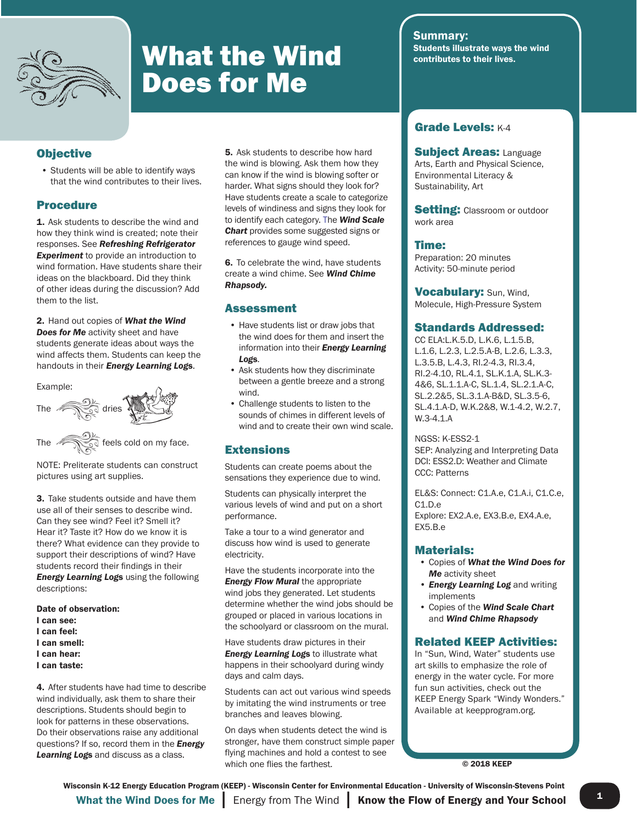

# **What the Wind Students illustrate ways to their lives.** Does for Me

### **Objective**

• Students will be able to identify ways that the wind contributes to their lives.

## Procedure

1. Ask students to describe the wind and how they think wind is created; note their responses. See *Refreshing Refrigerator*  **Experiment** to provide an introduction to wind formation. Have students share their ideas on the blackboard. Did they think of other ideas during the discussion? Add them to the list.

2. Hand out copies of *What the Wind Does for Me* activity sheet and have students generate ideas about ways the wind affects them. Students can keep the handouts in their *Energy Learning Log*s.

#### Example:



NOTE: Preliterate students can construct pictures using art supplies.

3. Take students outside and have them use all of their senses to describe wind. Can they see wind? Feel it? Smell it? Hear it? Taste it? How do we know it is there? What evidence can they provide to support their descriptions of wind? Have students record their findings in their *Energy Learning Log*s using the following descriptions:

Date of observation:

- I can see:
- I can feel:
- I can smell:
- I can hear:
- I can taste:

4. After students have had time to describe wind individually, ask them to share their descriptions. Students should begin to look for patterns in these observations. Do their observations raise any additional questions? If so, record them in the *Energy Learning Log*s and discuss as a class.

**5.** Ask students to describe how hard the wind is blowing. Ask them how they can know if the wind is blowing softer or harder. What signs should they look for? Have students create a scale to categorize levels of windiness and signs they look for to identify each category. The *Wind Scale Chart* provides some suggested signs or references to gauge wind speed.

6. To celebrate the wind, have students create a wind chime. See *Wind Chime Rhapsody.* 

#### Assessment

- Have students list or draw jobs that the wind does for them and insert the information into their *Energy Learning Log*s.
- Ask students how they discriminate between a gentle breeze and a strong wind.
- Challenge students to listen to the sounds of chimes in different levels of wind and to create their own wind scale.

### **Extensions**

Students can create poems about the sensations they experience due to wind.

Students can physically interpret the various levels of wind and put on a short performance.

Take a tour to a wind generator and discuss how wind is used to generate electricity.

Have the students incorporate into the *Energy Flow Mural* the appropriate wind jobs they generated. Let students determine whether the wind jobs should be grouped or placed in various locations in the schoolyard or classroom on the mural.

Have students draw pictures in their *Energy Learning Logs to illustrate what* happens in their schoolyard during windy days and calm days.

Students can act out various wind speeds by imitating the wind instruments or tree branches and leaves blowing.

On days when students detect the wind is stronger, have them construct simple paper flying machines and hold a contest to see which one flies the farthest.

**Summary:**<br>Students illustrate ways the wind

### Grade Levels: K-4

**Subject Areas: Language** Arts, Earth and Physical Science, Environmental Literacy & Sustainability, Art

**Setting: Classroom or outdoor** work area

#### Time:

Preparation: 20 minutes Activity: 50-minute period

**Vocabulary: Sun, Wind,** Molecule, High-Pressure System

#### Standards Addressed:

CC ELA:L.K.5.D, L.K.6, L.1.5.B, L.1.6, L.2.3, L.2.5.A-B, L.2.6, L.3.3, L.3.5.B, L.4.3, RI.2-4.3, RI.3.4, RI.2-4.10, RL.4.1, SL.K.1.A, SL.K.3- 4&6, SL.1.1.A-C, SL.1.4, SL.2.1.A-C, SL.2.2&5, SL.3.1.A-B&D, SL.3.5-6, SL.4.1.A-D, W.K.2&8, W.1-4.2, W.2.7, W.3-4.1.A

NGSS: K-ESS2-1 SEP: Analyzing and Interpreting Data DCI: ESS2.D: Weather and Climate CCC: Patterns

EL&S: Connect: C1.A.e, C1.A.i, C1.C.e, C1.D.e Explore: EX2.A.e, EX3.B.e, EX4.A.e, EX5.B.e

#### Materials:

- Copies of *What the Wind Does for Me* activity sheet
- *Energy Learning Log* and writing implements
- Copies of the *Wind Scale Chart*  and *Wind Chime Rhapsody*

### Related KEEP Activities:

In "Sun, Wind, Water" students use art skills to emphasize the role of energy in the water cycle. For more fun sun activities, check out the KEEP Energy Spark "Windy Wonders." Available at keepprogram.org.

© 2018 KEEP

What the Wind Does for Me  $\parallel$  Energy from The Wind  $\parallel$  Know the Flow of Energy and Your School  $\parallel$  <sup>1</sup> Wisconsin K-12 Energy Education Program (KEEP) - Wisconsin Center for Environmental Education - University of Wisconsin-Stevens Point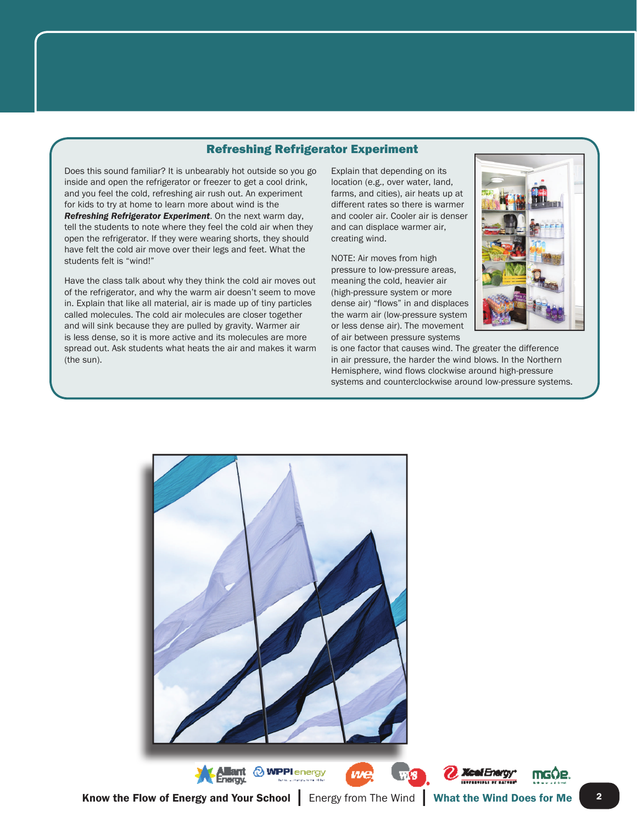### Refreshing Refrigerator Experiment

Does this sound familiar? It is unbearably hot outside so you go inside and open the refrigerator or freezer to get a cool drink, and you feel the cold, refreshing air rush out. An experiment for kids to try at home to learn more about wind is the *Refreshing Refrigerator Experiment*. On the next warm day, tell the students to note where they feel the cold air when they open the refrigerator. If they were wearing shorts, they should have felt the cold air move over their legs and feet. What the students felt is "wind!"

Have the class talk about why they think the cold air moves out of the refrigerator, and why the warm air doesn't seem to move in. Explain that like all material, air is made up of tiny particles called molecules. The cold air molecules are closer together and will sink because they are pulled by gravity. Warmer air is less dense, so it is more active and its molecules are more spread out. Ask students what heats the air and makes it warm (the sun).

Explain that depending on its location (e.g., over water, land, farms, and cities), air heats up at different rates so there is warmer and cooler air. Cooler air is denser and can displace warmer air, creating wind.

NOTE: Air moves from high pressure to low-pressure areas, meaning the cold, heavier air (high-pressure system or more dense air) "flows" in and displaces the warm air (low-pressure system or less dense air). The movement of air between pressure systems



is one factor that causes wind. The greater the difference in air pressure, the harder the wind blows. In the Northern Hemisphere, wind flows clockwise around high-pressure systems and counterclockwise around low-pressure systems.



**Xcel Energy TELEVISION OF BATTLE**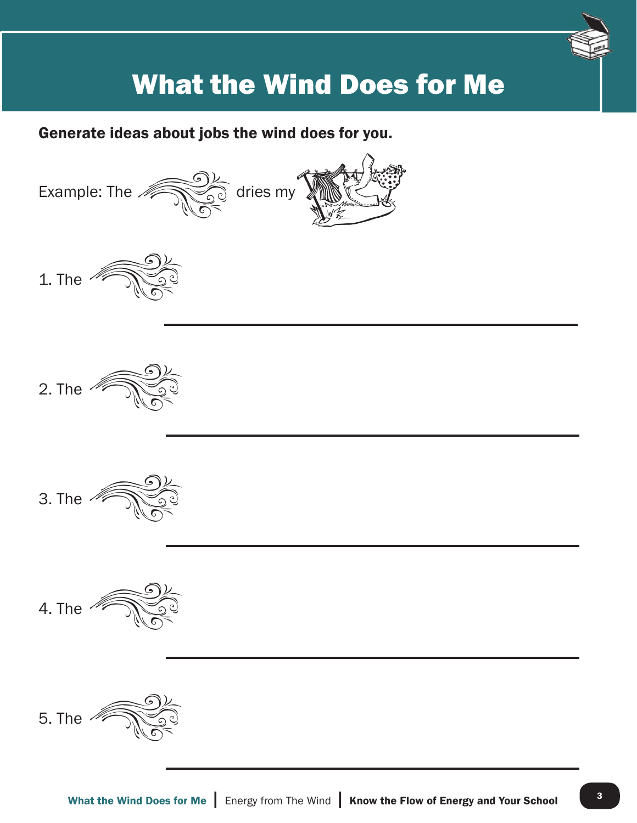

# What the Wind Does for Me

Generate ideas about jobs the wind does for you.